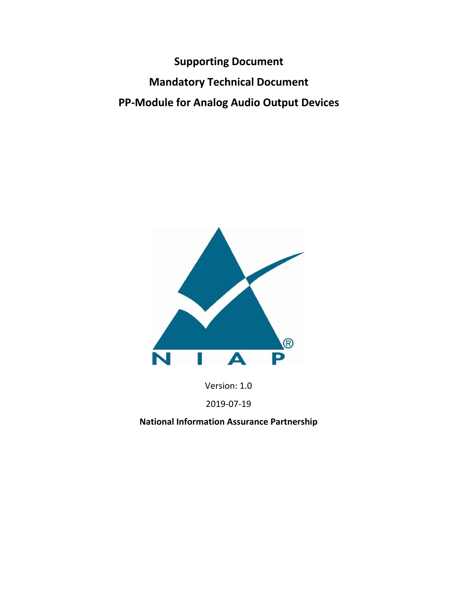**Supporting Document Mandatory Technical Document PP‐Module for Analog Audio Output Devices**



Version: 1.0

2019‐07‐19

**National Information Assurance Partnership**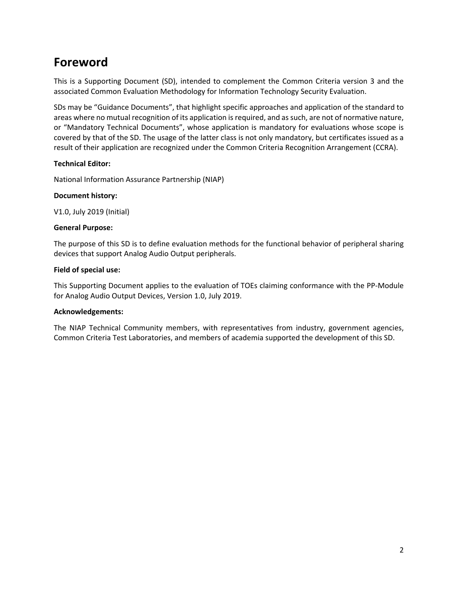# **Foreword**

This is a Supporting Document (SD), intended to complement the Common Criteria version 3 and the associated Common Evaluation Methodology for Information Technology Security Evaluation.

SDs may be "Guidance Documents", that highlight specific approaches and application of the standard to areas where no mutual recognition of its application is required, and as such, are not of normative nature, or "Mandatory Technical Documents", whose application is mandatory for evaluations whose scope is covered by that of the SD. The usage of the latter class is not only mandatory, but certificates issued as a result of their application are recognized under the Common Criteria Recognition Arrangement (CCRA).

#### **Technical Editor:**

National Information Assurance Partnership (NIAP)

#### **Document history:**

V1.0, July 2019 (Initial)

#### **General Purpose:**

The purpose of this SD is to define evaluation methods for the functional behavior of peripheral sharing devices that support Analog Audio Output peripherals.

#### **Field of special use:**

This Supporting Document applies to the evaluation of TOEs claiming conformance with the PP‐Module for Analog Audio Output Devices, Version 1.0, July 2019.

#### **Acknowledgements:**

The NIAP Technical Community members, with representatives from industry, government agencies, Common Criteria Test Laboratories, and members of academia supported the development of this SD.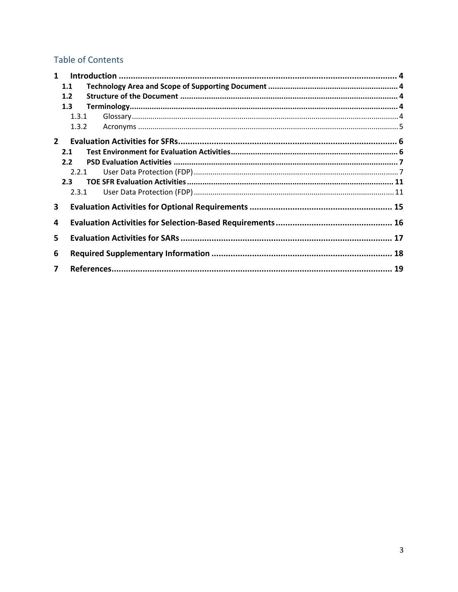## **Table of Contents**

| $\mathbf 1$ |       |  |  |  |  |
|-------------|-------|--|--|--|--|
|             | 1.1   |  |  |  |  |
|             | 1.2   |  |  |  |  |
|             | 1.3   |  |  |  |  |
|             | 1.3.1 |  |  |  |  |
|             | 1.3.2 |  |  |  |  |
| $2^{\circ}$ |       |  |  |  |  |
|             | 2.1   |  |  |  |  |
|             | 2.2   |  |  |  |  |
|             | 2.2.1 |  |  |  |  |
|             | 2.3   |  |  |  |  |
|             | 2.3.1 |  |  |  |  |
| 3           |       |  |  |  |  |
| 4           |       |  |  |  |  |
| 5.          |       |  |  |  |  |
| 6           |       |  |  |  |  |
| 7           |       |  |  |  |  |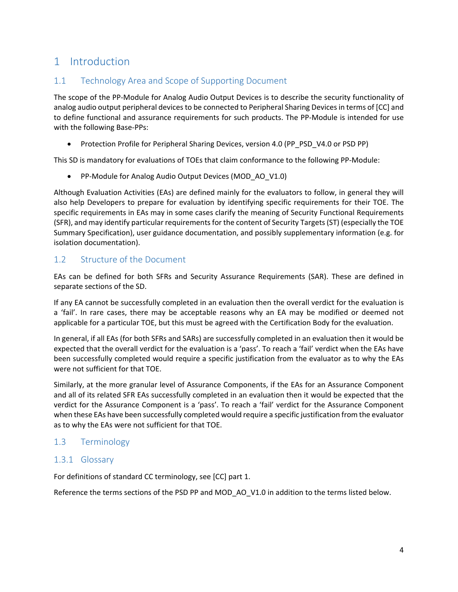## 1 Introduction

## 1.1 Technology Area and Scope of Supporting Document

The scope of the PP‐Module for Analog Audio Output Devices is to describe the security functionality of analog audio output peripheral devices to be connected to Peripheral Sharing Devices in terms of [CC] and to define functional and assurance requirements for such products. The PP‐Module is intended for use with the following Base-PPs:

• Protection Profile for Peripheral Sharing Devices, version 4.0 (PP\_PSD\_V4.0 or PSD PP)

This SD is mandatory for evaluations of TOEs that claim conformance to the following PP-Module:

● PP-Module for Analog Audio Output Devices (MOD\_AO\_V1.0)

Although Evaluation Activities (EAs) are defined mainly for the evaluators to follow, in general they will also help Developers to prepare for evaluation by identifying specific requirements for their TOE. The specific requirements in EAs may in some cases clarify the meaning of Security Functional Requirements (SFR), and may identify particular requirements for the content of Security Targets (ST) (especially the TOE Summary Specification), user guidance documentation, and possibly supplementary information (e.g. for isolation documentation).

## 1.2 Structure of the Document

EAs can be defined for both SFRs and Security Assurance Requirements (SAR). These are defined in separate sections of the SD.

If any EA cannot be successfully completed in an evaluation then the overall verdict for the evaluation is a 'fail'. In rare cases, there may be acceptable reasons why an EA may be modified or deemed not applicable for a particular TOE, but this must be agreed with the Certification Body for the evaluation.

In general, if all EAs (for both SFRs and SARs) are successfully completed in an evaluation then it would be expected that the overall verdict for the evaluation is a 'pass'. To reach a 'fail' verdict when the EAs have been successfully completed would require a specific justification from the evaluator as to why the EAs were not sufficient for that TOE.

Similarly, at the more granular level of Assurance Components, if the EAs for an Assurance Component and all of its related SFR EAs successfully completed in an evaluation then it would be expected that the verdict for the Assurance Component is a 'pass'. To reach a 'fail' verdict for the Assurance Component when these EAs have been successfully completed would require a specific justification from the evaluator as to why the EAs were not sufficient for that TOE.

## 1.3 Terminology

### 1.3.1 Glossary

For definitions of standard CC terminology, see [CC] part 1.

Reference the terms sections of the PSD PP and MOD\_AO\_V1.0 in addition to the terms listed below.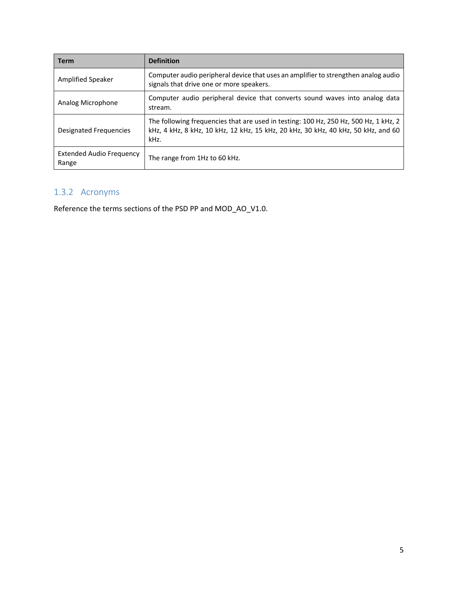| <b>Term</b>                              | <b>Definition</b>                                                                                                                                                                 |
|------------------------------------------|-----------------------------------------------------------------------------------------------------------------------------------------------------------------------------------|
| Amplified Speaker                        | Computer audio peripheral device that uses an amplifier to strengthen analog audio<br>signals that drive one or more speakers.                                                    |
| Analog Microphone                        | Computer audio peripheral device that converts sound waves into analog data<br>stream.                                                                                            |
| <b>Designated Frequencies</b>            | The following frequencies that are used in testing: 100 Hz, 250 Hz, 500 Hz, 1 kHz, 2<br>kHz, 4 kHz, 8 kHz, 10 kHz, 12 kHz, 15 kHz, 20 kHz, 30 kHz, 40 kHz, 50 kHz, and 60<br>kHz. |
| <b>Extended Audio Frequency</b><br>Range | The range from 1Hz to 60 kHz.                                                                                                                                                     |

## 1.3.2 Acronyms

Reference the terms sections of the PSD PP and MOD\_AO\_V1.0.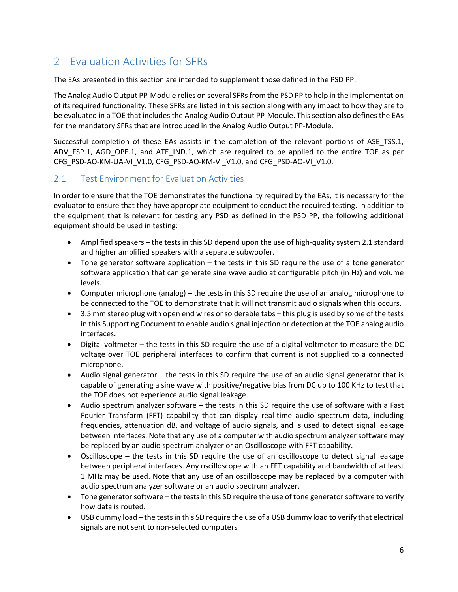## 2 Evaluation Activities for SFRs

The EAs presented in this section are intended to supplement those defined in the PSD PP.

The Analog Audio Output PP‐Module relies on several SFRs from the PSD PP to help in the implementation of its required functionality. These SFRs are listed in this section along with any impact to how they are to be evaluated in a TOE that includes the Analog Audio Output PP-Module. This section also defines the EAs for the mandatory SFRs that are introduced in the Analog Audio Output PP‐Module.

Successful completion of these EAs assists in the completion of the relevant portions of ASE TSS.1, ADV\_FSP.1, AGD\_OPE.1, and ATE\_IND.1, which are required to be applied to the entire TOE as per CFG\_PSD-AO-KM-UA-VI\_V1.0, CFG\_PSD-AO-KM-VI\_V1.0, and CFG\_PSD-AO-VI\_V1.0.

## 2.1 Test Environment for Evaluation Activities

In order to ensure that the TOE demonstrates the functionality required by the EAs, it is necessary for the evaluator to ensure that they have appropriate equipment to conduct the required testing. In addition to the equipment that is relevant for testing any PSD as defined in the PSD PP, the following additional equipment should be used in testing:

- Amplified speakers the tests in this SD depend upon the use of high‐quality system 2.1 standard and higher amplified speakers with a separate subwoofer.
- $\bullet$  Tone generator software application the tests in this SD require the use of a tone generator software application that can generate sine wave audio at configurable pitch (in Hz) and volume levels.
- Computer microphone (analog) the tests in this SD require the use of an analog microphone to be connected to the TOE to demonstrate that it will not transmit audio signals when this occurs.
- 3.5 mm stereo plug with open end wires or solderable tabs this plug is used by some of the tests in this Supporting Document to enable audio signal injection or detection at the TOE analog audio interfaces.
- Digital voltmeter the tests in this SD require the use of a digital voltmeter to measure the DC voltage over TOE peripheral interfaces to confirm that current is not supplied to a connected microphone.
- $\bullet$  Audio signal generator the tests in this SD require the use of an audio signal generator that is capable of generating a sine wave with positive/negative bias from DC up to 100 KHz to test that the TOE does not experience audio signal leakage.
- Audio spectrum analyzer software the tests in this SD require the use of software with a Fast Fourier Transform (FFT) capability that can display real-time audio spectrum data, including frequencies, attenuation dB, and voltage of audio signals, and is used to detect signal leakage between interfaces. Note that any use of a computer with audio spectrum analyzer software may be replaced by an audio spectrum analyzer or an Oscilloscope with FFT capability.
- Oscilloscope the tests in this SD require the use of an oscilloscope to detect signal leakage between peripheral interfaces. Any oscilloscope with an FFT capability and bandwidth of at least 1 MHz may be used. Note that any use of an oscilloscope may be replaced by a computer with audio spectrum analyzer software or an audio spectrum analyzer.
- Tone generator software the tests in this SD require the use of tone generator software to verify how data is routed.
- USB dummy load the tests in this SD require the use of a USB dummy load to verify that electrical signals are not sent to non‐selected computers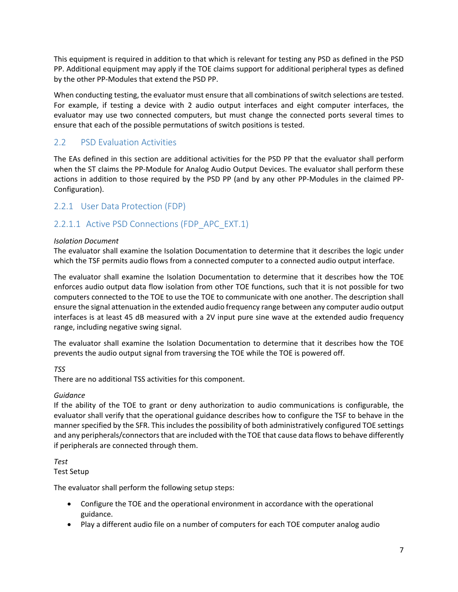This equipment is required in addition to that which is relevant for testing any PSD as defined in the PSD PP. Additional equipment may apply if the TOE claims support for additional peripheral types as defined by the other PP‐Modules that extend the PSD PP.

When conducting testing, the evaluator must ensure that all combinations of switch selections are tested. For example, if testing a device with 2 audio output interfaces and eight computer interfaces, the evaluator may use two connected computers, but must change the connected ports several times to ensure that each of the possible permutations of switch positions is tested.

## 2.2 PSD Evaluation Activities

The EAs defined in this section are additional activities for the PSD PP that the evaluator shall perform when the ST claims the PP-Module for Analog Audio Output Devices. The evaluator shall perform these actions in addition to those required by the PSD PP (and by any other PP‐Modules in the claimed PP‐ Configuration).

## 2.2.1 User Data Protection (FDP)

## 2.2.1.1 Active PSD Connections (FDP\_APC\_EXT.1)

#### *Isolation Document*

The evaluator shall examine the Isolation Documentation to determine that it describes the logic under which the TSF permits audio flows from a connected computer to a connected audio output interface.

The evaluator shall examine the Isolation Documentation to determine that it describes how the TOE enforces audio output data flow isolation from other TOE functions, such that it is not possible for two computers connected to the TOE to use the TOE to communicate with one another. The description shall ensure the signal attenuation in the extended audio frequency range between any computer audio output interfaces is at least 45 dB measured with a 2V input pure sine wave at the extended audio frequency range, including negative swing signal.

The evaluator shall examine the Isolation Documentation to determine that it describes how the TOE prevents the audio output signal from traversing the TOE while the TOE is powered off.

*TSS* 

There are no additional TSS activities for this component.

### *Guidance*

If the ability of the TOE to grant or deny authorization to audio communications is configurable, the evaluator shall verify that the operational guidance describes how to configure the TSF to behave in the manner specified by the SFR. This includes the possibility of both administratively configured TOE settings and any peripherals/connectors that are included with the TOE that cause data flows to behave differently if peripherals are connected through them.

*Test*  Test Setup

The evaluator shall perform the following setup steps:

- Configure the TOE and the operational environment in accordance with the operational guidance.
- Play a different audio file on a number of computers for each TOE computer analog audio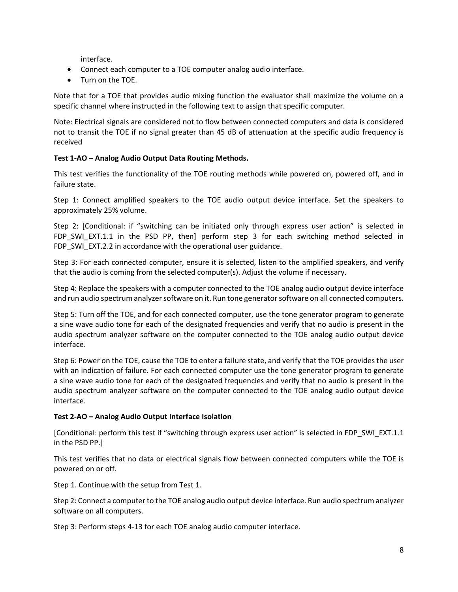interface.

- Connect each computer to a TOE computer analog audio interface.
- Turn on the TOE.

Note that for a TOE that provides audio mixing function the evaluator shall maximize the volume on a specific channel where instructed in the following text to assign that specific computer.

Note: Electrical signals are considered not to flow between connected computers and data is considered not to transit the TOE if no signal greater than 45 dB of attenuation at the specific audio frequency is received

#### **Test 1‐AO – Analog Audio Output Data Routing Methods.**

This test verifies the functionality of the TOE routing methods while powered on, powered off, and in failure state.

Step 1: Connect amplified speakers to the TOE audio output device interface. Set the speakers to approximately 25% volume.

Step 2: [Conditional: if "switching can be initiated only through express user action" is selected in FDP SWI\_EXT.1.1 in the PSD PP, then] perform step 3 for each switching method selected in FDP\_SWI\_EXT.2.2 in accordance with the operational user guidance.

Step 3: For each connected computer, ensure it is selected, listen to the amplified speakers, and verify that the audio is coming from the selected computer(s). Adjust the volume if necessary.

Step 4: Replace the speakers with a computer connected to the TOE analog audio output device interface and run audio spectrum analyzer software on it. Run tone generator software on all connected computers.

Step 5: Turn off the TOE, and for each connected computer, use the tone generator program to generate a sine wave audio tone for each of the designated frequencies and verify that no audio is present in the audio spectrum analyzer software on the computer connected to the TOE analog audio output device interface.

Step 6: Power on the TOE, cause the TOE to enter a failure state, and verify that the TOE provides the user with an indication of failure. For each connected computer use the tone generator program to generate a sine wave audio tone for each of the designated frequencies and verify that no audio is present in the audio spectrum analyzer software on the computer connected to the TOE analog audio output device interface.

#### **Test 2‐AO – Analog Audio Output Interface Isolation**

[Conditional: perform this test if "switching through express user action" is selected in FDP\_SWI\_EXT.1.1 in the PSD PP.]

This test verifies that no data or electrical signals flow between connected computers while the TOE is powered on or off.

Step 1. Continue with the setup from Test 1.

Step 2: Connect a computer to the TOE analog audio output device interface. Run audio spectrum analyzer software on all computers.

Step 3: Perform steps 4‐13 for each TOE analog audio computer interface.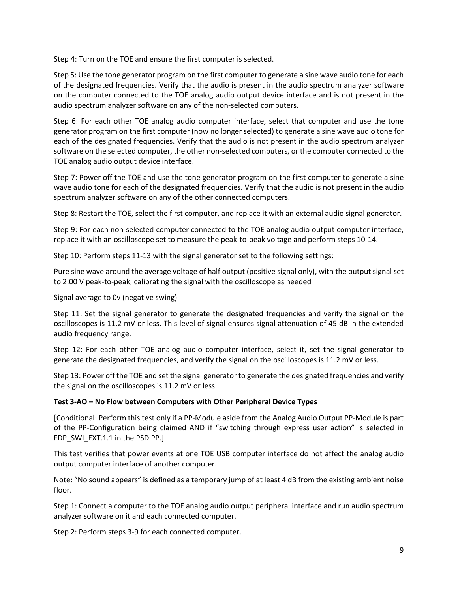Step 4: Turn on the TOE and ensure the first computer is selected.

Step 5: Use the tone generator program on the first computer to generate a sine wave audio tone for each of the designated frequencies. Verify that the audio is present in the audio spectrum analyzer software on the computer connected to the TOE analog audio output device interface and is not present in the audio spectrum analyzer software on any of the non‐selected computers.

Step 6: For each other TOE analog audio computer interface, select that computer and use the tone generator program on the first computer (now no longer selected) to generate a sine wave audio tone for each of the designated frequencies. Verify that the audio is not present in the audio spectrum analyzer software on the selected computer, the other non-selected computers, or the computer connected to the TOE analog audio output device interface.

Step 7: Power off the TOE and use the tone generator program on the first computer to generate a sine wave audio tone for each of the designated frequencies. Verify that the audio is not present in the audio spectrum analyzer software on any of the other connected computers.

Step 8: Restart the TOE, select the first computer, and replace it with an external audio signal generator.

Step 9: For each non-selected computer connected to the TOE analog audio output computer interface, replace it with an oscilloscope set to measure the peak‐to‐peak voltage and perform steps 10‐14.

Step 10: Perform steps 11-13 with the signal generator set to the following settings:

Pure sine wave around the average voltage of half output (positive signal only), with the output signal set to 2.00 V peak‐to‐peak, calibrating the signal with the oscilloscope as needed

Signal average to 0v (negative swing)

Step 11: Set the signal generator to generate the designated frequencies and verify the signal on the oscilloscopes is 11.2 mV or less. This level of signal ensures signal attenuation of 45 dB in the extended audio frequency range.

Step 12: For each other TOE analog audio computer interface, select it, set the signal generator to generate the designated frequencies, and verify the signal on the oscilloscopes is 11.2 mV or less.

Step 13: Power off the TOE and set the signal generator to generate the designated frequencies and verify the signal on the oscilloscopes is 11.2 mV or less.

#### **Test 3‐AO – No Flow between Computers with Other Peripheral Device Types**

[Conditional: Perform this test only if a PP‐Module aside from the Analog Audio Output PP‐Module is part of the PP-Configuration being claimed AND if "switching through express user action" is selected in FDP\_SWI\_EXT.1.1 in the PSD PP.]

This test verifies that power events at one TOE USB computer interface do not affect the analog audio output computer interface of another computer.

Note: "No sound appears" is defined as a temporary jump of at least 4 dB from the existing ambient noise floor.

Step 1: Connect a computer to the TOE analog audio output peripheral interface and run audio spectrum analyzer software on it and each connected computer.

Step 2: Perform steps 3‐9 for each connected computer.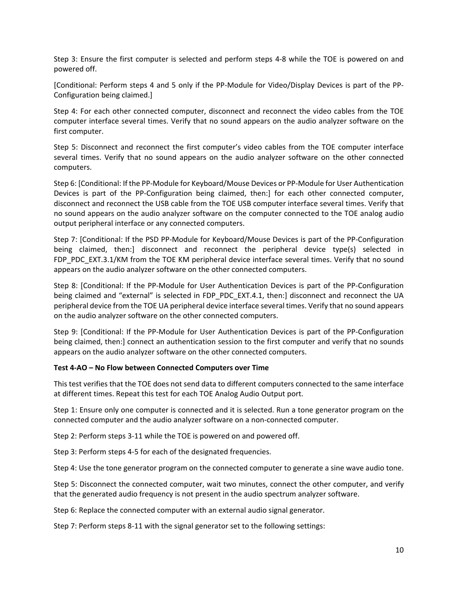Step 3: Ensure the first computer is selected and perform steps 4‐8 while the TOE is powered on and powered off.

[Conditional: Perform steps 4 and 5 only if the PP‐Module for Video/Display Devices is part of the PP‐ Configuration being claimed.]

Step 4: For each other connected computer, disconnect and reconnect the video cables from the TOE computer interface several times. Verify that no sound appears on the audio analyzer software on the first computer.

Step 5: Disconnect and reconnect the first computer's video cables from the TOE computer interface several times. Verify that no sound appears on the audio analyzer software on the other connected computers.

Step 6: [Conditional: If the PP‐Module for Keyboard/Mouse Devices or PP‐Module for User Authentication Devices is part of the PP-Configuration being claimed, then:] for each other connected computer, disconnect and reconnect the USB cable from the TOE USB computer interface several times. Verify that no sound appears on the audio analyzer software on the computer connected to the TOE analog audio output peripheral interface or any connected computers.

Step 7: [Conditional: If the PSD PP‐Module for Keyboard/Mouse Devices is part of the PP‐Configuration being claimed, then:] disconnect and reconnect the peripheral device type(s) selected in FDP\_PDC\_EXT.3.1/KM from the TOE KM peripheral device interface several times. Verify that no sound appears on the audio analyzer software on the other connected computers.

Step 8: [Conditional: If the PP‐Module for User Authentication Devices is part of the PP‐Configuration being claimed and "external" is selected in FDP\_PDC\_EXT.4.1, then:] disconnect and reconnect the UA peripheral device from the TOE UA peripheral device interface several times. Verify that no sound appears on the audio analyzer software on the other connected computers.

Step 9: [Conditional: If the PP‐Module for User Authentication Devices is part of the PP‐Configuration being claimed, then:] connect an authentication session to the first computer and verify that no sounds appears on the audio analyzer software on the other connected computers.

#### **Test 4‐AO – No Flow between Connected Computers over Time**

This test verifies that the TOE does not send data to different computers connected to the same interface at different times. Repeat this test for each TOE Analog Audio Output port.

Step 1: Ensure only one computer is connected and it is selected. Run a tone generator program on the connected computer and the audio analyzer software on a non‐connected computer.

Step 2: Perform steps 3-11 while the TOE is powered on and powered off.

Step 3: Perform steps 4‐5 for each of the designated frequencies.

Step 4: Use the tone generator program on the connected computer to generate a sine wave audio tone.

Step 5: Disconnect the connected computer, wait two minutes, connect the other computer, and verify that the generated audio frequency is not present in the audio spectrum analyzer software.

Step 6: Replace the connected computer with an external audio signal generator.

Step 7: Perform steps 8‐11 with the signal generator set to the following settings: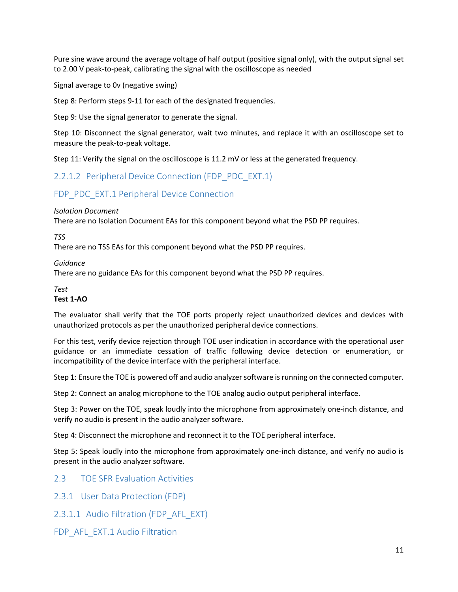Pure sine wave around the average voltage of half output (positive signal only), with the output signal set to 2.00 V peak‐to‐peak, calibrating the signal with the oscilloscope as needed

Signal average to 0v (negative swing)

Step 8: Perform steps 9‐11 for each of the designated frequencies.

Step 9: Use the signal generator to generate the signal.

Step 10: Disconnect the signal generator, wait two minutes, and replace it with an oscilloscope set to measure the peak‐to‐peak voltage.

Step 11: Verify the signal on the oscilloscope is 11.2 mV or less at the generated frequency.

2.2.1.2 Peripheral Device Connection (FDP\_PDC\_EXT.1)

## FDP\_PDC\_EXT.1 Peripheral Device Connection

#### *Isolation Document*

There are no Isolation Document EAs for this component beyond what the PSD PP requires.

#### *TSS*

There are no TSS EAs for this component beyond what the PSD PP requires.

#### *Guidance*

There are no guidance EAs for this component beyond what the PSD PP requires.

#### *Test*

#### **Test 1‐AO**

The evaluator shall verify that the TOE ports properly reject unauthorized devices and devices with unauthorized protocols as per the unauthorized peripheral device connections.

For this test, verify device rejection through TOE user indication in accordance with the operational user guidance or an immediate cessation of traffic following device detection or enumeration, or incompatibility of the device interface with the peripheral interface.

Step 1: Ensure the TOE is powered off and audio analyzer software is running on the connected computer.

Step 2: Connect an analog microphone to the TOE analog audio output peripheral interface.

Step 3: Power on the TOE, speak loudly into the microphone from approximately one‐inch distance, and verify no audio is present in the audio analyzer software.

Step 4: Disconnect the microphone and reconnect it to the TOE peripheral interface.

Step 5: Speak loudly into the microphone from approximately one‐inch distance, and verify no audio is present in the audio analyzer software.

- 2.3 TOE SFR Evaluation Activities
- 2.3.1 User Data Protection (FDP)
- 2.3.1.1 Audio Filtration (FDP\_AFL\_EXT)
- FDP\_AFL\_EXT.1 Audio Filtration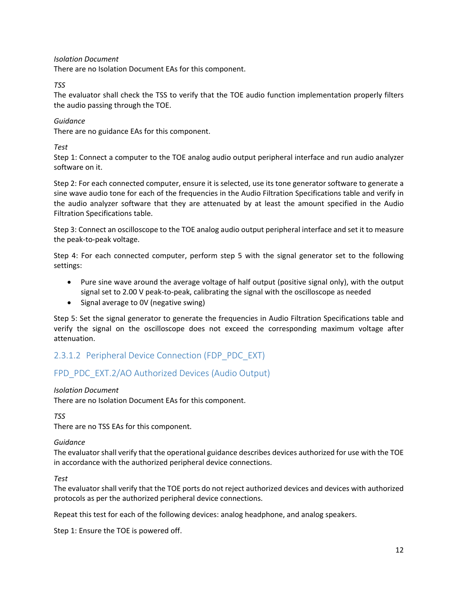*Isolation Document* 

There are no Isolation Document EAs for this component.

#### *TSS*

The evaluator shall check the TSS to verify that the TOE audio function implementation properly filters the audio passing through the TOE.

#### *Guidance*

There are no guidance EAs for this component.

*Test* 

Step 1: Connect a computer to the TOE analog audio output peripheral interface and run audio analyzer software on it.

Step 2: For each connected computer, ensure it is selected, use its tone generator software to generate a sine wave audio tone for each of the frequencies in the Audio Filtration Specifications table and verify in the audio analyzer software that they are attenuated by at least the amount specified in the Audio Filtration Specifications table.

Step 3: Connect an oscilloscope to the TOE analog audio output peripheral interface and set it to measure the peak‐to‐peak voltage.

Step 4: For each connected computer, perform step 5 with the signal generator set to the following settings:

- Pure sine wave around the average voltage of half output (positive signal only), with the output signal set to 2.00 V peak-to-peak, calibrating the signal with the oscilloscope as needed
- Signal average to OV (negative swing)

Step 5: Set the signal generator to generate the frequencies in Audio Filtration Specifications table and verify the signal on the oscilloscope does not exceed the corresponding maximum voltage after attenuation.

## 2.3.1.2 Peripheral Device Connection (FDP\_PDC\_EXT)

## FPD\_PDC\_EXT.2/AO Authorized Devices (Audio Output)

#### *Isolation Document*

There are no Isolation Document EAs for this component.

*TSS*

There are no TSS EAs for this component.

#### *Guidance*

The evaluator shall verify that the operational guidance describes devices authorized for use with the TOE in accordance with the authorized peripheral device connections.

*Test* 

The evaluator shall verify that the TOE ports do not reject authorized devices and devices with authorized protocols as per the authorized peripheral device connections.

Repeat this test for each of the following devices: analog headphone, and analog speakers.

Step 1: Ensure the TOE is powered off.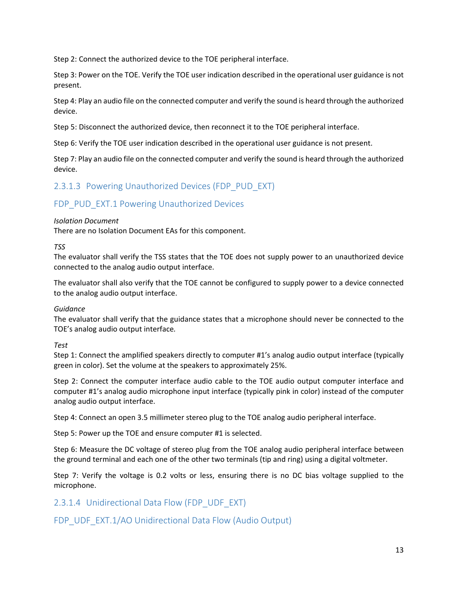Step 2: Connect the authorized device to the TOE peripheral interface.

Step 3: Power on the TOE. Verify the TOE user indication described in the operational user guidance is not present.

Step 4: Play an audio file on the connected computer and verify the sound is heard through the authorized device.

Step 5: Disconnect the authorized device, then reconnect it to the TOE peripheral interface.

Step 6: Verify the TOE user indication described in the operational user guidance is not present.

Step 7: Play an audio file on the connected computer and verify the sound is heard through the authorized device.

## 2.3.1.3 Powering Unauthorized Devices (FDP\_PUD\_EXT)

### FDP\_PUD\_EXT.1 Powering Unauthorized Devices

#### *Isolation Document*

There are no Isolation Document EAs for this component.

*TSS* 

The evaluator shall verify the TSS states that the TOE does not supply power to an unauthorized device connected to the analog audio output interface.

The evaluator shall also verify that the TOE cannot be configured to supply power to a device connected to the analog audio output interface.

#### *Guidance*

The evaluator shall verify that the guidance states that a microphone should never be connected to the TOE's analog audio output interface*.* 

*Test* 

Step 1: Connect the amplified speakers directly to computer #1's analog audio output interface (typically green in color). Set the volume at the speakers to approximately 25%.

Step 2: Connect the computer interface audio cable to the TOE audio output computer interface and computer #1's analog audio microphone input interface (typically pink in color) instead of the computer analog audio output interface.

Step 4: Connect an open 3.5 millimeter stereo plug to the TOE analog audio peripheral interface.

Step 5: Power up the TOE and ensure computer #1 is selected.

Step 6: Measure the DC voltage of stereo plug from the TOE analog audio peripheral interface between the ground terminal and each one of the other two terminals (tip and ring) using a digital voltmeter.

Step 7: Verify the voltage is 0.2 volts or less, ensuring there is no DC bias voltage supplied to the microphone.

2.3.1.4 Unidirectional Data Flow (FDP\_UDF\_EXT)

FDP UDF EXT.1/AO Unidirectional Data Flow (Audio Output)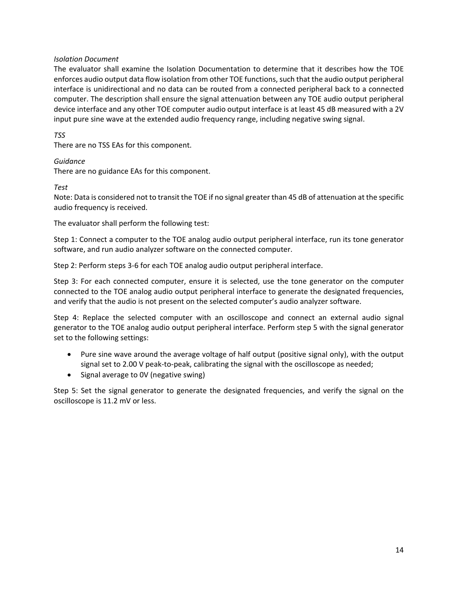#### *Isolation Document*

The evaluator shall examine the Isolation Documentation to determine that it describes how the TOE enforces audio output data flow isolation from other TOE functions, such that the audio output peripheral interface is unidirectional and no data can be routed from a connected peripheral back to a connected computer. The description shall ensure the signal attenuation between any TOE audio output peripheral device interface and any other TOE computer audio output interface is at least 45 dB measured with a 2V input pure sine wave at the extended audio frequency range, including negative swing signal.

#### *TSS*

There are no TSS EAs for this component.

#### *Guidance*

There are no guidance EAs for this component.

#### *Test*

Note: Data is considered not to transit the TOE if no signal greater than 45 dB of attenuation at the specific audio frequency is received.

The evaluator shall perform the following test:

Step 1: Connect a computer to the TOE analog audio output peripheral interface, run its tone generator software, and run audio analyzer software on the connected computer.

Step 2: Perform steps 3‐6 for each TOE analog audio output peripheral interface.

Step 3: For each connected computer, ensure it is selected, use the tone generator on the computer connected to the TOE analog audio output peripheral interface to generate the designated frequencies, and verify that the audio is not present on the selected computer's audio analyzer software.

Step 4: Replace the selected computer with an oscilloscope and connect an external audio signal generator to the TOE analog audio output peripheral interface. Perform step 5 with the signal generator set to the following settings:

- Pure sine wave around the average voltage of half output (positive signal only), with the output signal set to 2.00 V peak-to-peak, calibrating the signal with the oscilloscope as needed;
- Signal average to OV (negative swing)

Step 5: Set the signal generator to generate the designated frequencies, and verify the signal on the oscilloscope is 11.2 mV or less.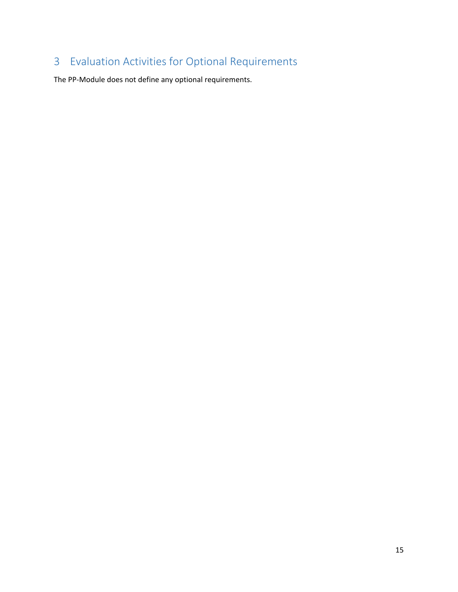# Evaluation Activities for Optional Requirements

The PP‐Module does not define any optional requirements.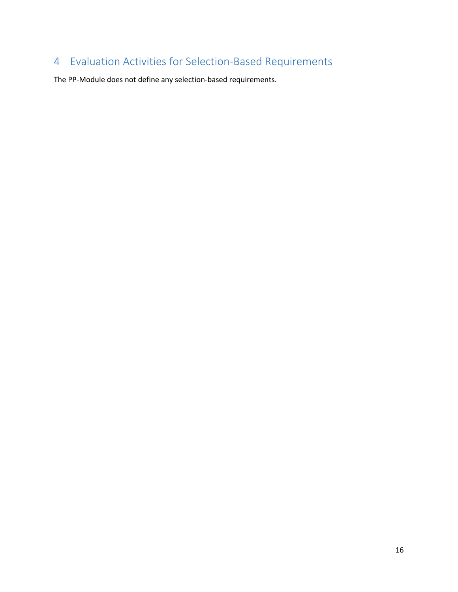# Evaluation Activities for Selection‐Based Requirements

The PP‐Module does not define any selection‐based requirements.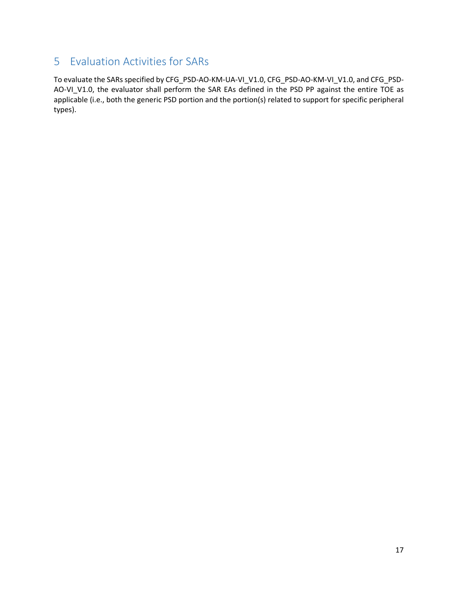## 5 Evaluation Activities for SARs

To evaluate the SARs specified by CFG\_PSD‐AO‐KM‐UA‐VI\_V1.0, CFG\_PSD‐AO‐KM‐VI\_V1.0, and CFG\_PSD‐ AO-VI\_V1.0, the evaluator shall perform the SAR EAs defined in the PSD PP against the entire TOE as applicable (i.e., both the generic PSD portion and the portion(s) related to support for specific peripheral types).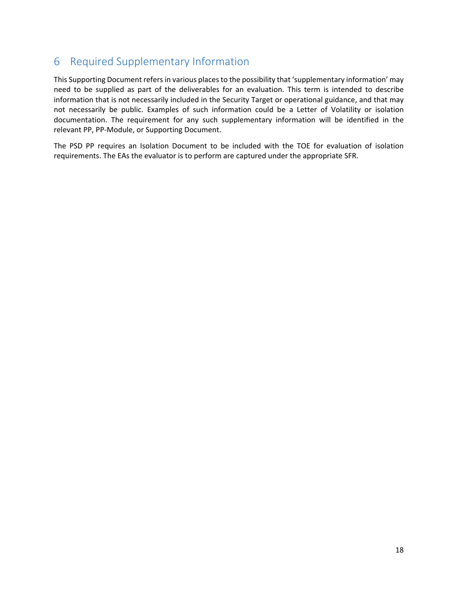## 6 Required Supplementary Information

This Supporting Document refers in various places to the possibility that 'supplementary information' may need to be supplied as part of the deliverables for an evaluation. This term is intended to describe information that is not necessarily included in the Security Target or operational guidance, and that may not necessarily be public. Examples of such information could be a Letter of Volatility or isolation documentation. The requirement for any such supplementary information will be identified in the relevant PP, PP‐Module, or Supporting Document.

The PSD PP requires an Isolation Document to be included with the TOE for evaluation of isolation requirements. The EAs the evaluator is to perform are captured under the appropriate SFR.